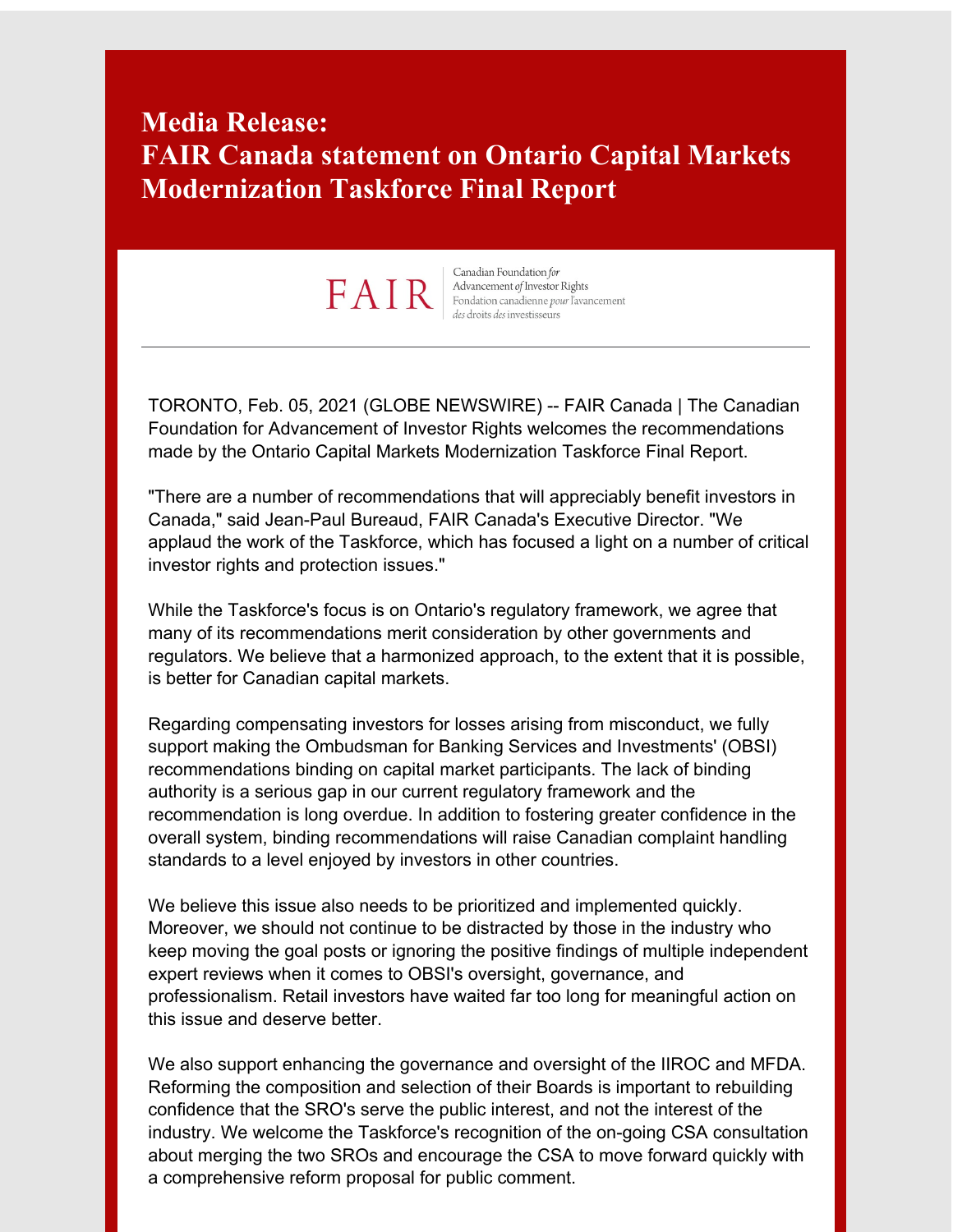# **Media Release: FAIR Canada statement on Ontario Capital Markets Modernization Taskforce Final Report**

# FAIR

Canadian Foundation for Advancement of Investor Rights Fondation canadienne pour l'avancement des droits des investisseurs

TORONTO, Feb. 05, 2021 (GLOBE NEWSWIRE) -- FAIR Canada | The Canadian Foundation for Advancement of Investor Rights welcomes the recommendations made by the Ontario Capital Markets Modernization Taskforce Final Report.

"There are a number of recommendations that will appreciably benefit investors in Canada," said Jean-Paul Bureaud, FAIR Canada's Executive Director. "We applaud the work of the Taskforce, which has focused a light on a number of critical investor rights and protection issues."

While the Taskforce's focus is on Ontario's regulatory framework, we agree that many of its recommendations merit consideration by other governments and regulators. We believe that a harmonized approach, to the extent that it is possible, is better for Canadian capital markets.

Regarding compensating investors for losses arising from misconduct, we fully support making the Ombudsman for Banking Services and Investments' (OBSI) recommendations binding on capital market participants. The lack of binding authority is a serious gap in our current regulatory framework and the recommendation is long overdue. In addition to fostering greater confidence in the overall system, binding recommendations will raise Canadian complaint handling standards to a level enjoyed by investors in other countries.

We believe this issue also needs to be prioritized and implemented quickly. Moreover, we should not continue to be distracted by those in the industry who keep moving the goal posts or ignoring the positive findings of multiple independent expert reviews when it comes to OBSI's oversight, governance, and professionalism. Retail investors have waited far too long for meaningful action on this issue and deserve better.

We also support enhancing the governance and oversight of the IIROC and MFDA. Reforming the composition and selection of their Boards is important to rebuilding confidence that the SRO's serve the public interest, and not the interest of the industry. We welcome the Taskforce's recognition of the on-going CSA consultation about merging the two SROs and encourage the CSA to move forward quickly with a comprehensive reform proposal for public comment.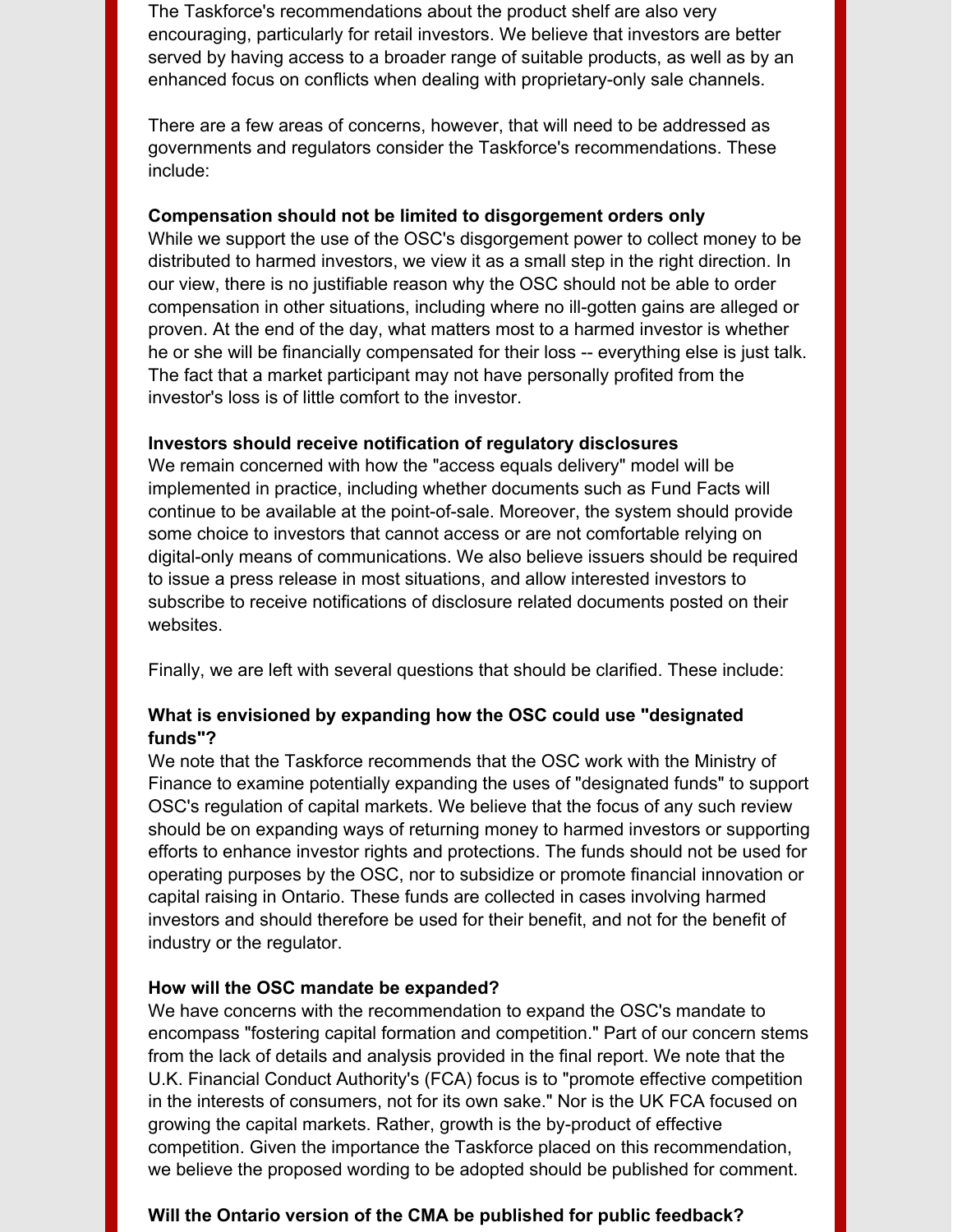The Taskforce's recommendations about the product shelf are also very encouraging, particularly for retail investors. We believe that investors are better served by having access to a broader range of suitable products, as well as by an enhanced focus on conflicts when dealing with proprietary-only sale channels.

There are a few areas of concerns, however, that will need to be addressed as governments and regulators consider the Taskforce's recommendations. These include:

#### **Compensation should not be limited to disgorgement orders only**

While we support the use of the OSC's disgorgement power to collect money to be distributed to harmed investors, we view it as a small step in the right direction. In our view, there is no justifiable reason why the OSC should not be able to order compensation in other situations, including where no ill-gotten gains are alleged or proven. At the end of the day, what matters most to a harmed investor is whether he or she will be financially compensated for their loss -- everything else is just talk. The fact that a market participant may not have personally profited from the investor's loss is of little comfort to the investor.

#### **Investors should receive notification of regulatory disclosures**

We remain concerned with how the "access equals delivery" model will be implemented in practice, including whether documents such as Fund Facts will continue to be available at the point-of-sale. Moreover, the system should provide some choice to investors that cannot access or are not comfortable relying on digital-only means of communications. We also believe issuers should be required to issue a press release in most situations, and allow interested investors to subscribe to receive notifications of disclosure related documents posted on their websites.

Finally, we are left with several questions that should be clarified. These include:

# **What is envisioned by expanding how the OSC could use "designated funds"?**

We note that the Taskforce recommends that the OSC work with the Ministry of Finance to examine potentially expanding the uses of "designated funds" to support OSC's regulation of capital markets. We believe that the focus of any such review should be on expanding ways of returning money to harmed investors or supporting efforts to enhance investor rights and protections. The funds should not be used for operating purposes by the OSC, nor to subsidize or promote financial innovation or capital raising in Ontario. These funds are collected in cases involving harmed investors and should therefore be used for their benefit, and not for the benefit of industry or the regulator.

#### **How will the OSC mandate be expanded?**

We have concerns with the recommendation to expand the OSC's mandate to encompass "fostering capital formation and competition." Part of our concern stems from the lack of details and analysis provided in the final report. We note that the U.K. Financial Conduct Authority's (FCA) focus is to "promote effective competition in the interests of consumers, not for its own sake." Nor is the UK FCA focused on growing the capital markets. Rather, growth is the by-product of effective competition. Given the importance the Taskforce placed on this recommendation, we believe the proposed wording to be adopted should be published for comment.

# **Will the Ontario version of the CMA be published for public feedback?**